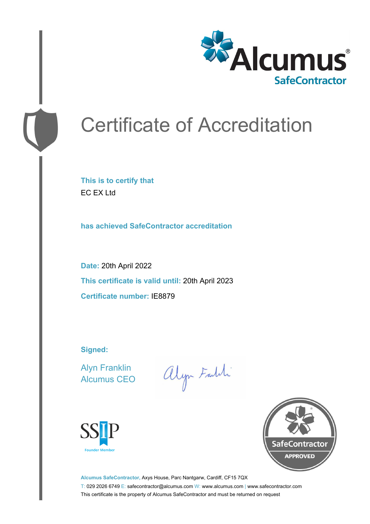

# Certificate of Accreditation

**This is to certify that** EC EX Ltd

**has achieved SafeContractor accreditation**

**Date:** 20th April 2022 **This certificate is valid until:** 20th April 2023 **Certificate number:** IE8879

**Signed:**

Alyn Franklin Alcumus CEO

alyn Faldi





**Alcumus SafeContractor,** Axys House, Parc Nantgarw, Cardiff, CF15 7QX T: 029 2026 6749 E: safecontractor@alcumus.com W: www.alcumus.com | www.safecontractor.com This certificate is the property of Alcumus SafeContractor and must be returned on request